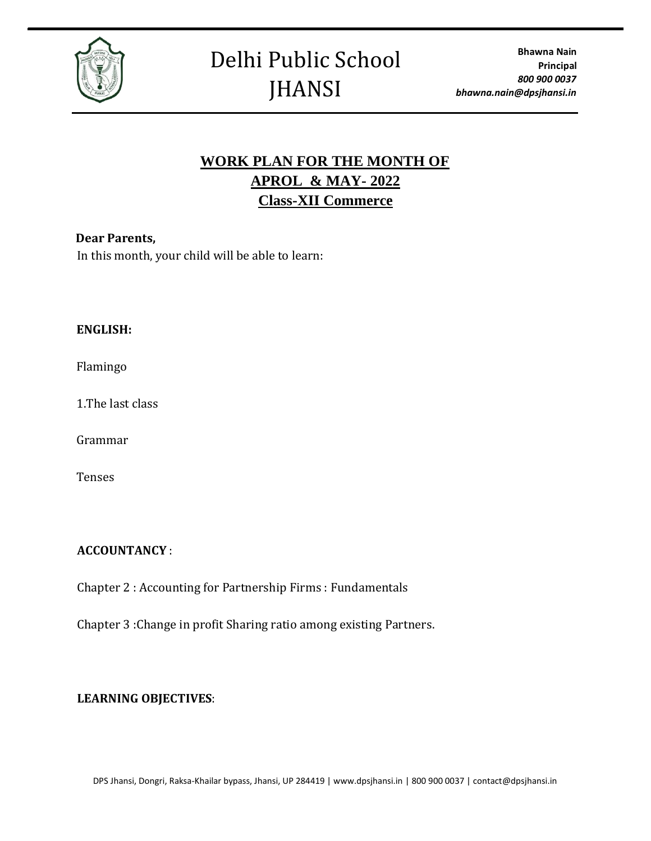

# **WORK PLAN FOR THE MONTH OF APROL & MAY- 2022 Class-XII Commerce**

# **Dear Parents,**

In this month, your child will be able to learn:

## **ENGLISH:**

Flamingo

1.The last class

Grammar

Tenses

# **ACCOUNTANCY** :

Chapter 2 : Accounting for Partnership Firms : Fundamentals

Chapter 3 :Change in profit Sharing ratio among existing Partners.

# **LEARNING OBJECTIVES**: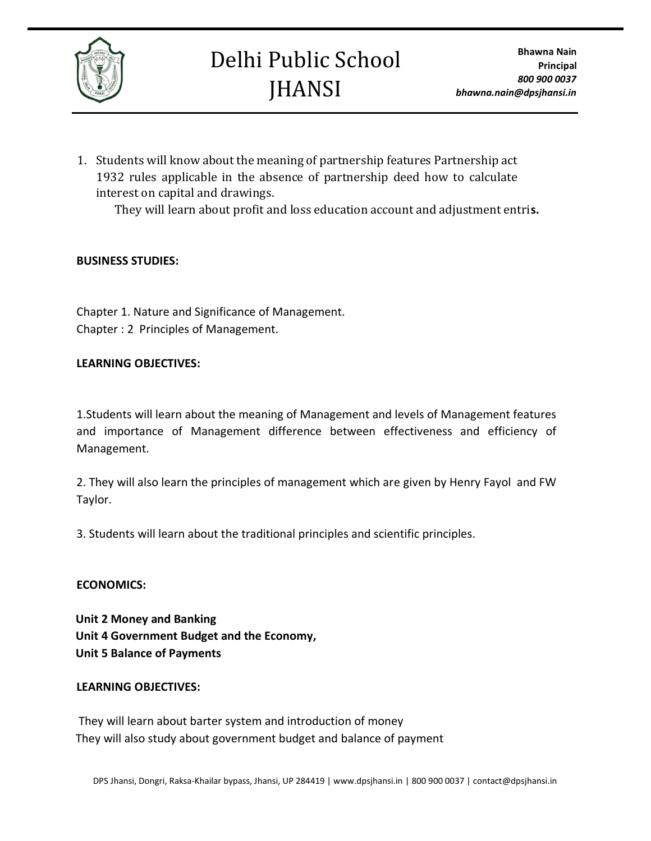

# Delhi Public School **JHANSI**

1. Students will know about the meaning of partnership features Partnership act 1932 rules applicable in the absence of partnership deed how to calculate interest on capital and drawings.

They will learn about profit and loss education account and adjustment entri**s.**

# **BUSINESS STUDIES:**

Chapter 1. Nature and Significance of Management. Chapter : 2 Principles of Management.

## **LEARNING OBJECTIVES:**

1.Students will learn about the meaning of Management and levels of Management features and importance of Management difference between effectiveness and efficiency of Management.

2. They will also learn the principles of management which are given by Henry Fayol and FW Taylor.

3. Students will learn about the traditional principles and scientific principles.

#### **ECONOMICS:**

**Unit 2 Money and Banking Unit 4 Government Budget and the Economy, Unit 5 Balance of Payments**

#### **LEARNING OBJECTIVES:**

They will learn about barter system and introduction of money They will also study about government budget and balance of payment